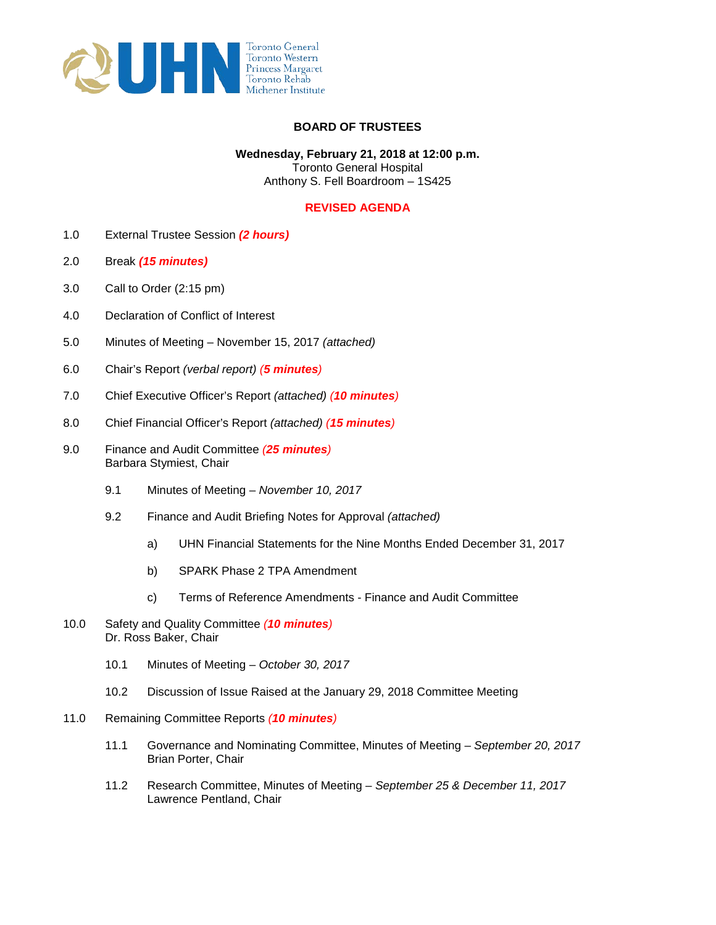

## **BOARD OF TRUSTEES**

## Anthony S. Fell Boardroom – 1S425 **Wednesday, February 21, 2018 at 12:00 p.m.**  Toronto General Hospital

## **REVISED AGENDA**

- 1.0 External Trustee Session *(2 hours)*
- 2.0 Break *(15 minutes)*
- 3.0 Call to Order (2:15 pm)
- 4.0 Declaration of Conflict of Interest
- 5.0 Minutes of Meeting November 15, 2017 *(attached)*
- 6.0 Chair's Report *(verbal report) (5 minutes)*
- 7.0 Chief Executive Officer's Report *(attached) (10 minutes)*
- 8.0 Chief Financial Officer's Report *(attached) (15 minutes)*
- 9.0 Finance and Audit Committee *(25 minutes)*  Barbara Stymiest, Chair
	- 9.1 Minutes of Meeting *November 10, 2017*
	- 9.2 Finance and Audit Briefing Notes for Approval *(attached)* 
		- a) UHN Financial Statements for the Nine Months Ended December 31, 2017
		- b) SPARK Phase 2 TPA Amendment
		- c) Terms of Reference Amendments Finance and Audit Committee
- 10.0 Safety and Quality Committee *(10 minutes)*  Dr. Ross Baker, Chair
	- 10.1 Minutes of Meeting *October 30, 2017*
	- 10.2 Discussion of Issue Raised at the January 29, 2018 Committee Meeting
- 11.0 Remaining Committee Reports *(10 minutes)* 
	- 11.1 Governance and Nominating Committee, Minutes of Meeting *September 20, 2017*  Brian Porter, Chair
	- 11.2 Research Committee, Minutes of Meeting *September 25 & December 11, 2017*  Lawrence Pentland, Chair